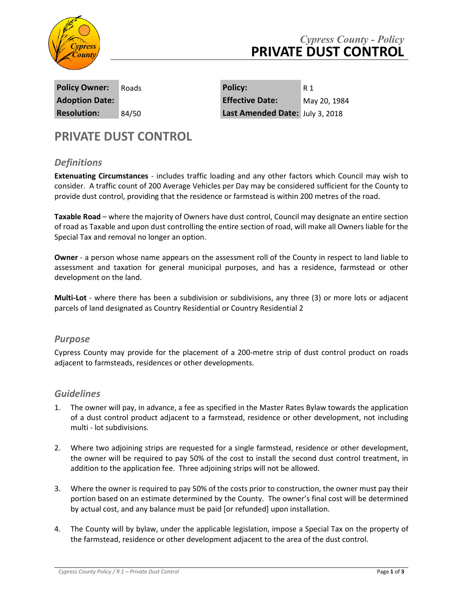

| <b>Policy Owner:</b>  | Roads |
|-----------------------|-------|
| <b>Adoption Date:</b> |       |
| <b>Resolution:</b>    | 84/50 |

**Policy Owner:** Roads **Policy:** R1 **Adoption Date: Effective Date:** May 20, 1984 **Last Amended Date:** July 3, 2018

# **PRIVATE DUST CONTROL**

## *Definitions*

**Extenuating Circumstances** - includes traffic loading and any other factors which Council may wish to consider. A traffic count of 200 Average Vehicles per Day may be considered sufficient for the County to provide dust control, providing that the residence or farmstead is within 200 metres of the road.

**Taxable Road** – where the majority of Owners have dust control, Council may designate an entire section of road as Taxable and upon dust controlling the entire section of road, will make all Owners liable for the Special Tax and removal no longer an option.

**Owner** - a person whose name appears on the assessment roll of the County in respect to land liable to assessment and taxation for general municipal purposes, and has a residence, farmstead or other development on the land.

**Multi-Lot** - where there has been a subdivision or subdivisions, any three (3) or more lots or adjacent parcels of land designated as Country Residential or Country Residential 2

#### *Purpose*

Cypress County may provide for the placement of a 200-metre strip of dust control product on roads adjacent to farmsteads, residences or other developments.

#### *Guidelines*

- 1. The owner will pay, in advance, a fee as specified in the Master Rates Bylaw towards the application of a dust control product adjacent to a farmstead, residence or other development, not including multi - lot subdivisions.
- 2. Where two adjoining strips are requested for a single farmstead, residence or other development, the owner will be required to pay 50% of the cost to install the second dust control treatment, in addition to the application fee. Three adjoining strips will not be allowed.
- 3. Where the owner is required to pay 50% of the costs prior to construction, the owner must pay their portion based on an estimate determined by the County. The owner's final cost will be determined by actual cost, and any balance must be paid [or refunded] upon installation.
- 4. The County will by bylaw, under the applicable legislation, impose a Special Tax on the property of the farmstead, residence or other development adjacent to the area of the dust control.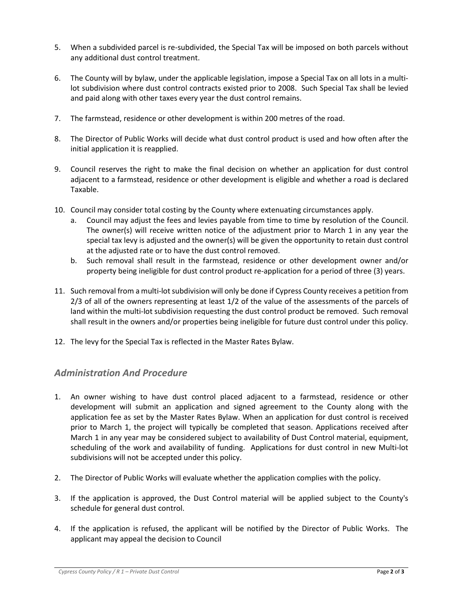- 5. When a subdivided parcel is re-subdivided, the Special Tax will be imposed on both parcels without any additional dust control treatment.
- 6. The County will by bylaw, under the applicable legislation, impose a Special Tax on all lots in a multilot subdivision where dust control contracts existed prior to 2008. Such Special Tax shall be levied and paid along with other taxes every year the dust control remains.
- 7. The farmstead, residence or other development is within 200 metres of the road.
- 8. The Director of Public Works will decide what dust control product is used and how often after the initial application it is reapplied.
- 9. Council reserves the right to make the final decision on whether an application for dust control adjacent to a farmstead, residence or other development is eligible and whether a road is declared Taxable.
- 10. Council may consider total costing by the County where extenuating circumstances apply.
	- a. Council may adjust the fees and levies payable from time to time by resolution of the Council. The owner(s) will receive written notice of the adjustment prior to March 1 in any year the special tax levy is adjusted and the owner(s) will be given the opportunity to retain dust control at the adjusted rate or to have the dust control removed.
	- b. Such removal shall result in the farmstead, residence or other development owner and/or property being ineligible for dust control product re-application for a period of three (3) years.
- 11. Such removal from a multi-lot subdivision will only be done if Cypress County receives a petition from 2/3 of all of the owners representing at least 1/2 of the value of the assessments of the parcels of land within the multi-lot subdivision requesting the dust control product be removed. Such removal shall result in the owners and/or properties being ineligible for future dust control under this policy.
- 12. The levy for the Special Tax is reflected in the Master Rates Bylaw.

#### *Administration And Procedure*

- 1. An owner wishing to have dust control placed adjacent to a farmstead, residence or other development will submit an application and signed agreement to the County along with the application fee as set by the Master Rates Bylaw. When an application for dust control is received prior to March 1, the project will typically be completed that season. Applications received after March 1 in any year may be considered subject to availability of Dust Control material, equipment, scheduling of the work and availability of funding. Applications for dust control in new Multi-lot subdivisions will not be accepted under this policy.
- 2. The Director of Public Works will evaluate whether the application complies with the policy.
- 3. If the application is approved, the Dust Control material will be applied subject to the County's schedule for general dust control.
- 4. If the application is refused, the applicant will be notified by the Director of Public Works. The applicant may appeal the decision to Council